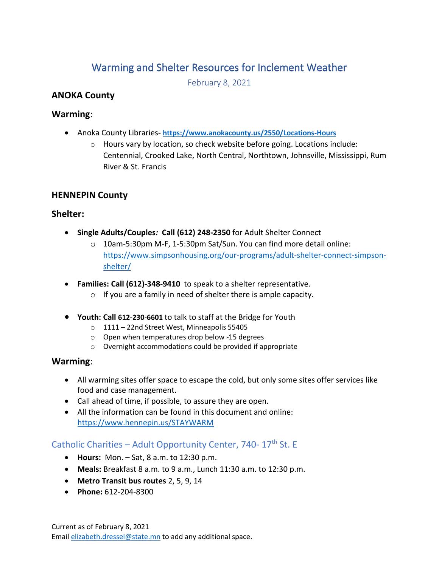# Warming and Shelter Resources for Inclement Weather

February 8, 2021

### **ANOKA County**

### **Warming**:

- Anoka County Libraries**- <https://www.anokacounty.us/2550/Locations-Hours>**
	- o Hours vary by location, so check website before going. Locations include: Centennial, Crooked Lake, North Central, Northtown, Johnsville, Mississippi, Rum River & St. Francis

### **HENNEPIN County**

### **Shelter:**

- **Single Adults/Couples***:* **Call (612) 248-2350** for Adult Shelter Connect
	- o 10am-5:30pm M-F, 1-5:30pm Sat/Sun. You can find more detail online: [https://www.simpsonhousing.org/our-programs/adult-shelter-connect-simpson](https://www.simpsonhousing.org/our-programs/adult-shelter-connect-simpson-shelter/)[shelter/](https://www.simpsonhousing.org/our-programs/adult-shelter-connect-simpson-shelter/)
- **Families: Call (612)-348-9410** to speak to a shelter representative.
	- $\circ$  If you are a family in need of shelter there is ample capacity.
- **Youth: Call 612-230-6601** to talk to staff at the Bridge for Youth
	- o 1111 [22nd Street West, Minneapolis 55405](https://www.google.com/maps/place/The+Bridge+For+Youth/@44.960655,-93.296243,17z/data=!3m1!4b1!4m5!3m4!1s0x52b332d74a81dc75:0xb652691619ac7ac7!8m2!3d44.960655!4d-93.2940543)
	- o Open when temperatures drop below -15 degrees
	- o Overnight accommodations could be provided if appropriate

## **Warming**:

- All warming sites offer space to escape the cold, but only some sites offer services like food and case management.
- Call ahead of time, if possible, to assure they are open.
- All the information can be found in this document and online: <https://www.hennepin.us/STAYWARM>

### Catholic Charities – Adult Opportunity Center, 740-  $17<sup>th</sup>$  St. E

- **Hours:** Mon. Sat, 8 a.m. to 12:30 p.m.
- **Meals:** Breakfast 8 a.m. to 9 a.m., Lunch 11:30 a.m. to 12:30 p.m.
- **Metro Transit bus routes** 2, 5, 9, 14
- **Phone:** 612-204-8300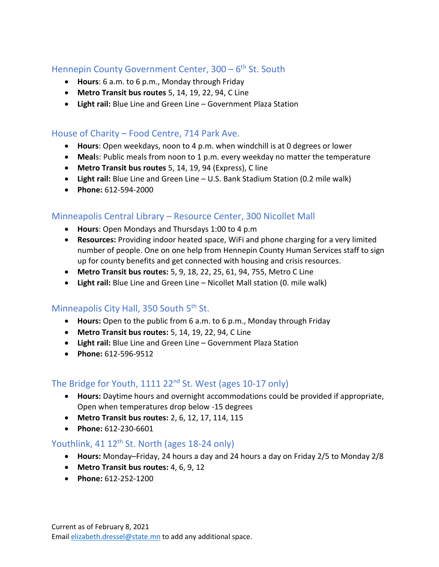## Hennepin County Government Center, 300 - 6<sup>th</sup> St. South

- **Hours**: 6 a.m. to 6 p.m., Monday through Friday
- **Metro Transit bus routes** 5, 14, 19, 22, 94, C Line
- **Light rail:** Blue Line and Green Line Government Plaza Station

### House of Charity – Food Centre, 714 Park Ave.

- **Hours**: Open weekdays, noon to 4 p.m. when windchill is at 0 degrees or lower
- **Meal**s: Public meals from noon to 1 p.m. every weekday no matter the temperature
- **Metro Transit bus routes** 5, 14, 19, 94 (Express), C line
- **Light rail:** Blue Line and Green Line U.S. Bank Stadium Station (0.2 mile walk)
- **Phone:** 612-594-2000

## Minneapolis Central Library – Resource Center, 300 Nicollet Mall

- **Hours**: Open Mondays and Thursdays 1:00 to 4 p.m
- **Resources:** Providing indoor heated space, WiFi and phone charging for a very limited number of people. One on one help from Hennepin County Human Services staff to sign up for county benefits and get connected with housing and crisis resources.
- **Metro Transit bus routes:** 5, 9, 18, 22, 25, 61, 94, 755, Metro C Line
- **Light rail:** Blue Line and Green Line Nicollet Mall station (0. mile walk)

## Minneapolis City Hall, 350 South 5<sup>th</sup> St.

- **Hours:** Open to the public from 6 a.m. to 6 p.m., Monday through Friday
- **Metro Transit bus routes:** 5, 14, 19, 22, 94, C Line
- **Light rail:** Blue Line and Green Line Government Plaza Station
- **Phone:** 612-596-9512

### The Bridge for Youth, 1111 22<sup>nd</sup> St. West (ages 10-17 only)

- **Hours:** Daytime hours and overnight accommodations could be provided if appropriate, Open when temperatures drop below -15 degrees
- **Metro Transit bus routes:** 2, 6, 12, 17, 114, 115
- **Phone:** 612-230-6601

## Youthlink, 41 12<sup>th</sup> St. North (ages 18-24 only)

- **Hours:** Monday–Friday, 24 hours a day and 24 hours a day on Friday 2/5 to Monday 2/8
- **Metro Transit bus routes:** 4, 6, 9, 12
- **Phone:** 612-252-1200